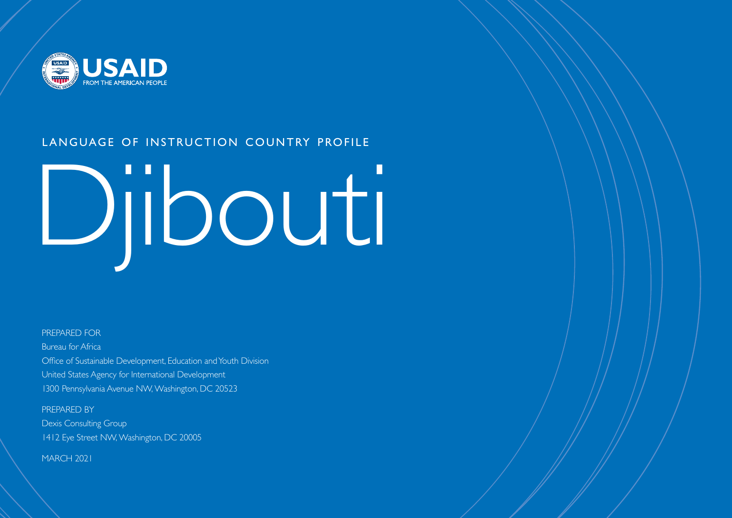

# LANGUAGE OF INSTRUCTION COUNTRY PROFILE

# Djibouti

#### PREPARED FOR

Bureau for Africa Office of Sustainable Development, Education and Youth Division United States Agency for International Development 1300 Pennsylvania Avenue NW, Washington, DC 20523

PREPARED BY Dexis Consulting Group 1412 Eye Street NW, Washington, DC 20005

MARCH 2021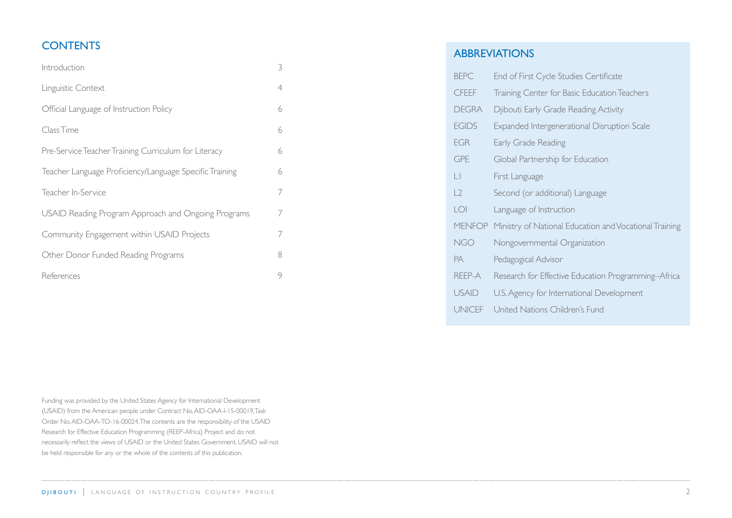# **CONTENTS**

| Introduction                                            | 3 |  |
|---------------------------------------------------------|---|--|
| Linguistic Context                                      | 4 |  |
| Official Language of Instruction Policy                 | 6 |  |
| Class Time                                              | 6 |  |
| Pre-Service Teacher Training Curriculum for Literacy    | 6 |  |
| Teacher Language Proficiency/Language Specific Training |   |  |
| Teacher In-Service                                      | 7 |  |
| USAID Reading Program Approach and Ongoing Programs     |   |  |
| Community Engagement within USAID Projects              |   |  |
| Other Donor Funded Reading Programs                     |   |  |
| References                                              | 9 |  |

ABBREVIATIONS

| <b>BEPC</b>         | End of First Cycle Studies Certificate                 |
|---------------------|--------------------------------------------------------|
| <b>CFEEF</b>        | Training Center for Basic Education Teachers           |
| <b>DEGRA</b>        | Djibouti Early Grade Reading Activity                  |
| <b>EGIDS</b>        | Expanded Intergenerational Disruption Scale            |
| <b>EGR</b>          | Early Grade Reading                                    |
| <b>GPE</b>          | Global Partnership for Education                       |
| Ш                   | First Language                                         |
| $\lfloor 2 \rfloor$ | Second (or additional) Language                        |
| <b>LOI</b>          | Language of Instruction                                |
| <b>MENFOP</b>       | Ministry of National Education and Vocational Training |
| <b>NGO</b>          | Nongovernmental Organization                           |
| <b>PA</b>           | Pedagogical Advisor                                    |
| REEP-A              | Research for Effective Education Programming–Africa    |
| <b>USAID</b>        | U.S. Agency for International Development              |
| <b>UNICEF</b>       | United Nations Children's Fund                         |

Funding was provided by the United States Agency for International Development (USAID) from the American people under Contract No. AID-OAA-I-15-00019, Task Order No. AID-OAA-TO-16-00024. The contents are the responsibility of the USAID Research for Effective Education Programming (REEP-Africa) Project and do not necessarily reflect the views of USAID or the United States Government. USAID will not be held responsible for any or the whole of the contents of this publication.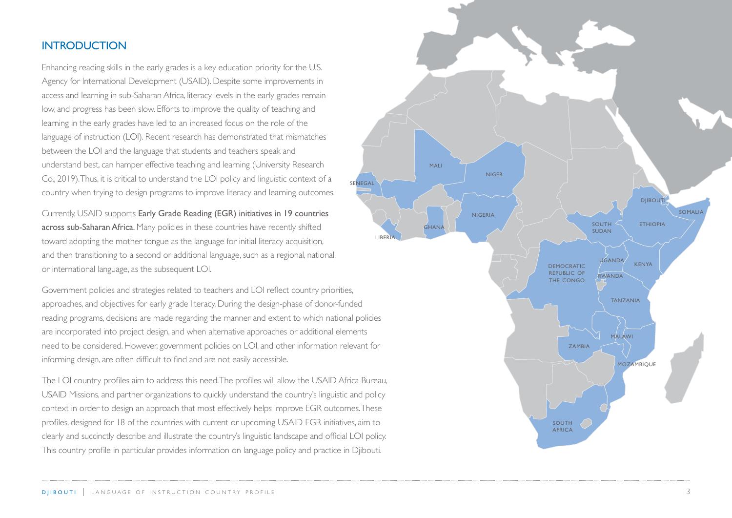## <span id="page-2-0"></span>**INTRODUCTION**

Enhancing reading skills in the early grades is a key education priority for the U.S. Agency for International Development (USAID). Despite some improvements in access and learning in sub-Saharan Africa, literacy levels in the early grades remain low, and progress has been slow. Efforts to improve the quality of teaching and learning in the early grades have led to an increased focus on the role of the language of instruction (LOI). Recent research has demonstrated that mismatches between the LOI and the language that students and teachers speak and understand best, can hamper effective teaching and learning (University Research Co., 2019). Thus, it is critical to understand the LOI policy and linguistic context of a country when trying to design programs to improve literacy and learning outcomes.

Currently, USAID supports Early Grade Reading (EGR) initiatives in 19 countries across sub-Saharan Africa. Many policies in these countries have recently shifted toward adopting the mother tongue as the language for initial literacy acquisition, and then transitioning to a second or additional language, such as a regional, national, or international language, as the subsequent LOI.

Government policies and strategies related to teachers and LOI reflect country priorities, approaches, and objectives for early grade literacy. During the design-phase of donor-funded reading programs, decisions are made regarding the manner and extent to which national policies are incorporated into project design, and when alternative approaches or additional elements need to be considered. However, government policies on LOI, and other information relevant for informing design, are often difficult to find and are not easily accessible.

The LOI country profiles aim to address this need. The profiles will allow the USAID Africa Bureau, USAID Missions, and partner organizations to quickly understand the country's linguistic and policy context in order to design an approach that most effectively helps improve EGR outcomes. These profiles, designed for 18 of the countries with current or upcoming USAID EGR initiatives, aim to clearly and succinctly describe and illustrate the country's linguistic landscape and official LOI policy. This country profile in particular provides information on language policy and practice in Djibouti.

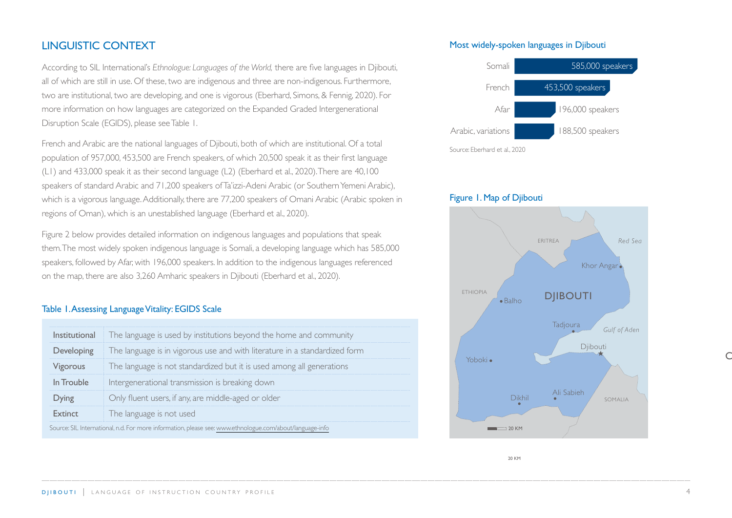## <span id="page-3-0"></span>LINGUISTIC CONTEXT

According to SIL International's *Ethnologue: Languages of the World,* there are five languages in Djibouti, all of which are still in use. Of these, two are indigenous and three are non-indigenous. Furthermore, two are institutional, two are developing, and one is vigorous (Eberhard, Simons, & Fennig, 2020). For more information on how languages are categorized on the Expanded Graded Intergenerational Disruption Scale (EGIDS), please see Table 1.

French and Arabic are the national languages of Djibouti, both of which are institutional. Of a total population of 957,000, 453,500 are French speakers, of which 20,500 speak it as their first language (L1) and 433,000 speak it as their second language (L2) (Eberhard et al., 2020). There are 40,100 speakers of standard Arabic and 71,200 speakers of Ta'izzi-Adeni Arabic (or Southern Yemeni Arabic), which is a vigorous language. Additionally, there are 77,200 speakers of Omani Arabic (Arabic spoken in regions of Oman), which is an unestablished language (Eberhard et al., 2020).

Figure 2 below provides detailed information on indigenous languages and populations that speak them. The most widely spoken indigenous language is Somali, a developing language which has 585,000 speakers, followed by Afar, with 196,000 speakers. In addition to the indigenous languages referenced on the map, there are also 3,260 Amharic speakers in Djibouti (Eberhard et al., 2020).

#### Table 1. Assessing Language Vitality: EGIDS Scale

| Institutional                                                                                            | The language is used by institutions beyond the home and community         |
|----------------------------------------------------------------------------------------------------------|----------------------------------------------------------------------------|
| Developing                                                                                               | The language is in vigorous use and with literature in a standardized form |
| Vigorous                                                                                                 | The language is not standardized but it is used among all generations      |
| In Trouble                                                                                               | Intergenerational transmission is breaking down                            |
| Dying                                                                                                    | Only fluent users, if any, are middle-aged or older                        |
| <b>Extinct</b>                                                                                           | The language is not used                                                   |
| Source: SIL International, n.d. For more information, please see: www.ethnologue.com/about/language-info |                                                                            |

#### Most widely-spoken languages in Djibouti



#### Figure 1. Map of Djibouti



20 KM

 $\subset$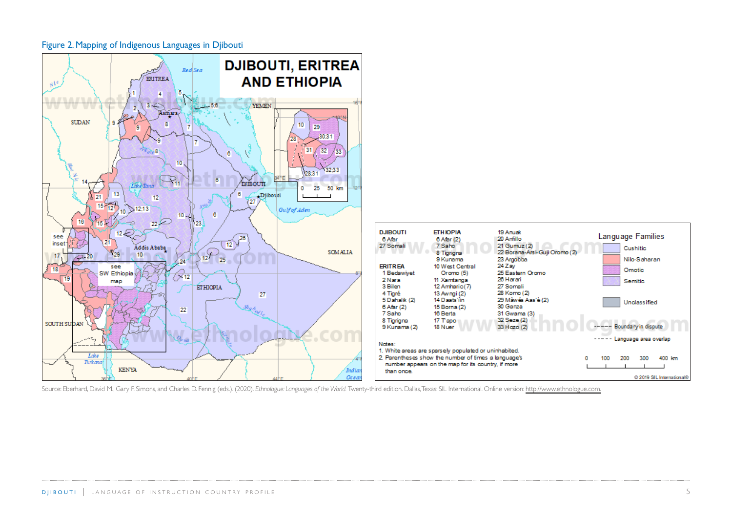

Figure 2. Mapping of Indigenous Languages in Djibouti

Source: Eberhard, David M., Gary F. Simons, and Charles D. Fennig (eds.). (2020). *Ethnologue: Languages of the World.* Twenty-third edition. Dallas, Texas: SIL International. Online version: <http://www.ethnologue.com.>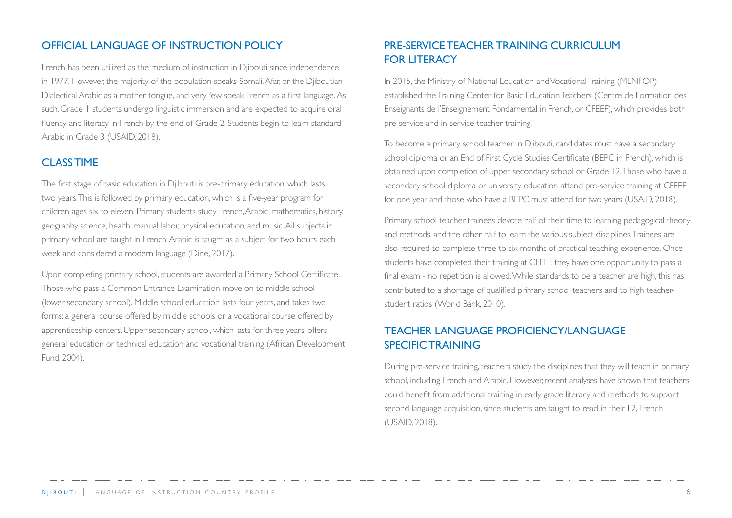## <span id="page-5-0"></span>OFFICIAL LANGUAGE OF INSTRUCTION POLICY

French has been utilized as the medium of instruction in Djibouti since independence in 1977. However, the majority of the population speaks Somali, Afar, or the Djiboutian Dialectical Arabic as a mother tongue, and very few speak French as a first language. As such, Grade 1 students undergo linguistic immersion and are expected to acquire oral fluency and literacy in French by the end of Grade 2. Students begin to learn standard Arabic in Grade 3 (USAID, 2018).

#### CLASS TIME

The first stage of basic education in Djibouti is pre-primary education, which lasts two years. This is followed by primary education, which is a five-year program for children ages six to eleven. Primary students study French, Arabic, mathematics, history, geography, science, health, manual labor, physical education, and music. All subjects in primary school are taught in French; Arabic is taught as a subject for two hours each week and considered a modern language (Dirie, 2017).

Upon completing primary school, students are awarded a Primary School Certificate. Those who pass a Common Entrance Examination move on to middle school (lower secondary school). Middle school education lasts four years, and takes two forms: a general course offered by middle schools or a vocational course offered by apprenticeship centers. Upper secondary school, which lasts for three years, offers general education or technical education and vocational training (African Development Fund, 2004).

# PRE-SERVICE TEACHER TRAINING CURRICULUM FOR LITERACY

In 2015, the Ministry of National Education and Vocational Training (MENFOP) established the Training Center for Basic Education Teachers (Centre de Formation des Enseignants de l'Enseignement Fondamental in French, or CFEEF), which provides both pre-service and in-service teacher training.

To become a primary school teacher in Djibouti, candidates must have a secondary school diploma or an End of First Cycle Studies Certificate (BEPC in French), which is obtained upon completion of upper secondary school or Grade 12. Those who have a secondary school diploma or university education attend pre-service training at CFEEF for one year, and those who have a BEPC must attend for two years (USAID, 2018).

Primary school teacher trainees devote half of their time to learning pedagogical theory and methods, and the other half to learn the various subject disciplines. Trainees are also required to complete three to six months of practical teaching experience. Once students have completed their training at CFEEF, they have one opportunity to pass a final exam - no repetition is allowed. While standards to be a teacher are high, this has contributed to a shortage of qualified primary school teachers and to high teacherstudent ratios (World Bank, 2010).

# TEACHER LANGUAGE PROFICIENCY/LANGUAGE SPECIFIC TRAINING

During pre-service training, teachers study the disciplines that they will teach in primary school, including French and Arabic. However, recent analyses have shown that teachers could benefit from additional training in early grade literacy and methods to support second language acquisition, since students are taught to read in their L2, French (USAID, 2018).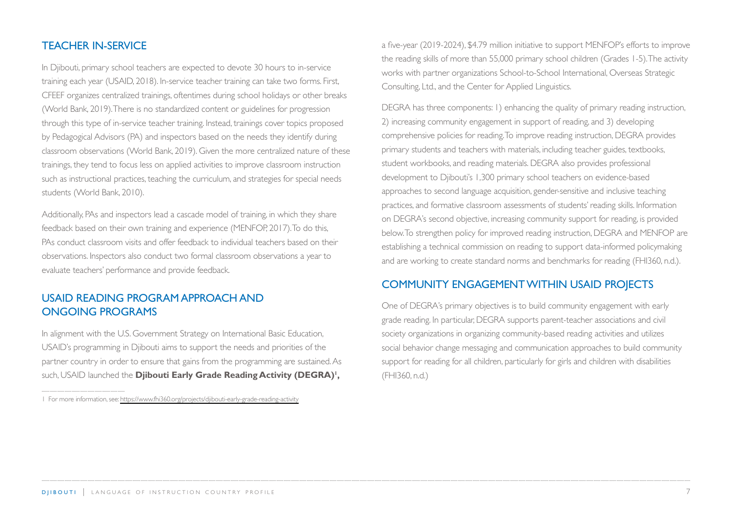## <span id="page-6-0"></span>TEACHER IN-SERVICE

In Djibouti, primary school teachers are expected to devote 30 hours to in-service training each year (USAID, 2018). In-service teacher training can take two forms. First, CFEEF organizes centralized trainings, oftentimes during school holidays or other breaks (World Bank, 2019). There is no standardized content or guidelines for progression through this type of in-service teacher training. Instead, trainings cover topics proposed by Pedagogical Advisors (PA) and inspectors based on the needs they identify during classroom observations (World Bank, 2019). Given the more centralized nature of these trainings, they tend to focus less on applied activities to improve classroom instruction such as instructional practices, teaching the curriculum, and strategies for special needs students (World Bank, 2010).

Additionally, PAs and inspectors lead a cascade model of training, in which they share feedback based on their own training and experience (MENFOP, 2017). To do this, PAs conduct classroom visits and offer feedback to individual teachers based on their observations. Inspectors also conduct two formal classroom observations a year to evaluate teachers' performance and provide feedback.

## USAID READING PROGRAM APPROACH AND ONGOING PROGRAMS

In alignment with the U.S. Government Strategy on International Basic Education, USAID's programming in Djibouti aims to support the needs and priorities of the partner country in order to ensure that gains from the programming are sustained. As such, USAID launched the **Djibouti Early Grade Reading Activity (DEGRA)<sup>1</sup>,** 

1 For more information, see:<https://www.fhi360.org/projects/djibouti-early-grade-reading-activity>

a five-year (2019-2024), \$4.79 million initiative to support MENFOP's efforts to improve the reading skills of more than 55,000 primary school children (Grades 1-5). The activity works with partner organizations School-to-School International, Overseas Strategic Consulting, Ltd., and the Center for Applied Linguistics.

DEGRA has three components: 1) enhancing the quality of primary reading instruction, 2) increasing community engagement in support of reading, and 3) developing comprehensive policies for reading. To improve reading instruction, DEGRA provides primary students and teachers with materials, including teacher guides, textbooks, student workbooks, and reading materials. DEGRA also provides professional development to Djibouti's 1,300 primary school teachers on evidence-based approaches to second language acquisition, gender-sensitive and inclusive teaching practices, and formative classroom assessments of students' reading skills. Information on DEGRA's second objective, increasing community support for reading, is provided below. To strengthen policy for improved reading instruction, DEGRA and MENFOP are establishing a technical commission on reading to support data-informed policymaking and are working to create standard norms and benchmarks for reading (FHI360, n.d.).

### COMMUNITY ENGAGEMENT WITHIN USAID PROJECTS

One of DEGRA's primary objectives is to build community engagement with early grade reading. In particular, DEGRA supports parent-teacher associations and civil society organizations in organizing community-based reading activities and utilizes social behavior change messaging and communication approaches to build community support for reading for all children, particularly for girls and children with disabilities (FHI360, n.d.)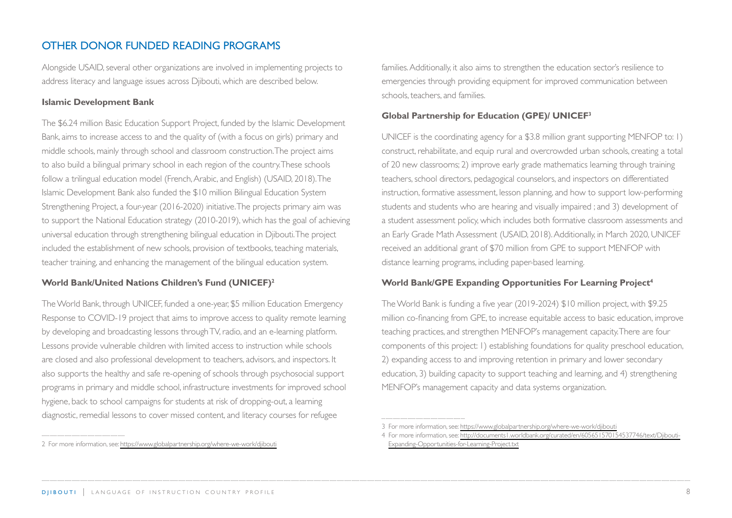# <span id="page-7-0"></span>OTHER DONOR FUNDED READING PROGRAMS

Alongside USAID, several other organizations are involved in implementing projects to address literacy and language issues across Djibouti, which are described below.

#### **Islamic Development Bank**

The \$6.24 million Basic Education Support Project, funded by the Islamic Development Bank, aims to increase access to and the quality of (with a focus on girls) primary and middle schools, mainly through school and classroom construction. The project aims to also build a bilingual primary school in each region of the country. These schools follow a trilingual education model (French, Arabic, and English) (USAID, 2018). The Islamic Development Bank also funded the \$10 million Bilingual Education System Strengthening Project, a four-year (2016-2020) initiative. The projects primary aim was to support the National Education strategy (2010-2019), which has the goal of achieving universal education through strengthening bilingual education in Djibouti. The project included the establishment of new schools, provision of textbooks, teaching materials, teacher training, and enhancing the management of the bilingual education system.

#### **World Bank/United Nations Children's Fund (UNICEF)2**

The World Bank, through UNICEF, funded a one-year, \$5 million Education Emergency Response to COVID-19 project that aims to improve access to quality remote learning by developing and broadcasting lessons through TV, radio, and an e-learning platform. Lessons provide vulnerable children with limited access to instruction while schools are closed and also professional development to teachers, advisors, and inspectors. It also supports the healthy and safe re-opening of schools through psychosocial support programs in primary and middle school, infrastructure investments for improved school hygiene, back to school campaigns for students at risk of dropping-out, a learning diagnostic, remedial lessons to cover missed content, and literacy courses for refugee

families. Additionally, it also aims to strengthen the education sector's resilience to emergencies through providing equipment for improved communication between schools, teachers, and families.

#### **Global Partnership for Education (GPE)/ UNICEF3**

UNICEF is the coordinating agency for a \$3.8 million grant supporting MENFOP to: 1) construct, rehabilitate, and equip rural and overcrowded urban schools, creating a total of 20 new classrooms; 2) improve early grade mathematics learning through training teachers, school directors, pedagogical counselors, and inspectors on differentiated instruction, formative assessment, lesson planning, and how to support low-performing students and students who are hearing and visually impaired ; and 3) development of a student assessment policy, which includes both formative classroom assessments and an Early Grade Math Assessment (USAID, 2018). Additionally, in March 2020, UNICEF received an additional grant of \$70 million from GPE to support MENFOP with distance learning programs, including paper-based learning.

#### **World Bank/GPE Expanding Opportunities For Learning Project4**

The World Bank is funding a five year (2019-2024) \$10 million project, with \$9.25 million co-financing from GPE, to increase equitable access to basic education, improve teaching practices, and strengthen MENFOP's management capacity. There are four components of this project: 1) establishing foundations for quality preschool education, 2) expanding access to and improving retention in primary and lower secondary education, 3) building capacity to support teaching and learning, and 4) strengthening MENFOP's management capacity and data systems organization.

<sup>2</sup> For more information, see:<https://www.globalpartnership.org/where-we-work/djibouti>

<sup>3</sup> For more information, see:<https://www.globalpartnership.org/where-we-work/djibouti>

<sup>4</sup> For more information, see: [http://documents1.worldbank.org/curated/en/605651570154537746/text/Djibouti-](http://documents1.worldbank.org/curated/en/605651570154537746/text/Djibouti-Expanding-Opportunities-for-Learning-Project.txt)[Expanding-Opportunities-for-Learning-Project.txt](http://documents1.worldbank.org/curated/en/605651570154537746/text/Djibouti-Expanding-Opportunities-for-Learning-Project.txt)